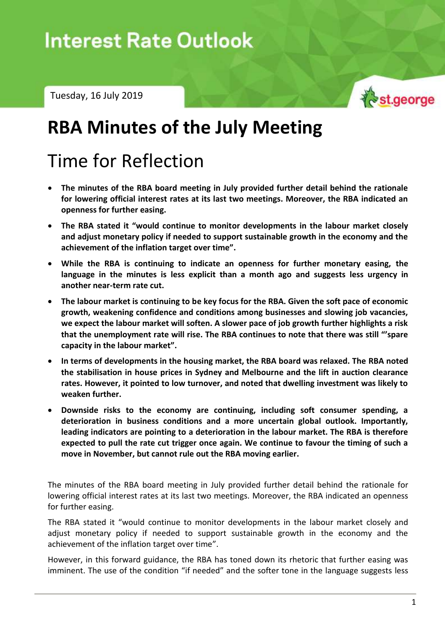

# **RBA Minutes of the July Meeting**

# Time for Reflection

- **The minutes of the RBA board meeting in July provided further detail behind the rationale for lowering official interest rates at its last two meetings. Moreover, the RBA indicated an openness for further easing.**
- **The RBA stated it "would continue to monitor developments in the labour market closely and adjust monetary policy if needed to support sustainable growth in the economy and the achievement of the inflation target over time".**
- **While the RBA is continuing to indicate an openness for further monetary easing, the language in the minutes is less explicit than a month ago and suggests less urgency in another near-term rate cut.**
- **The labour market is continuing to be key focus for the RBA. Given the soft pace of economic growth, weakening confidence and conditions among businesses and slowing job vacancies, we expect the labour market will soften. A slower pace of job growth further highlights a risk that the unemployment rate will rise. The RBA continues to note that there was still "'spare capacity in the labour market".**
- **In terms of developments in the housing market, the RBA board was relaxed. The RBA noted the stabilisation in house prices in Sydney and Melbourne and the lift in auction clearance rates. However, it pointed to low turnover, and noted that dwelling investment was likely to weaken further.**
- **Downside risks to the economy are continuing, including soft consumer spending, a deterioration in business conditions and a more uncertain global outlook. Importantly, leading indicators are pointing to a deterioration in the labour market. The RBA is therefore expected to pull the rate cut trigger once again. We continue to favour the timing of such a move in November, but cannot rule out the RBA moving earlier.**

The minutes of the RBA board meeting in July provided further detail behind the rationale for lowering official interest rates at its last two meetings. Moreover, the RBA indicated an openness for further easing.

The RBA stated it "would continue to monitor developments in the labour market closely and adjust monetary policy if needed to support sustainable growth in the economy and the achievement of the inflation target over time".

However, in this forward guidance, the RBA has toned down its rhetoric that further easing was imminent. The use of the condition "if needed" and the softer tone in the language suggests less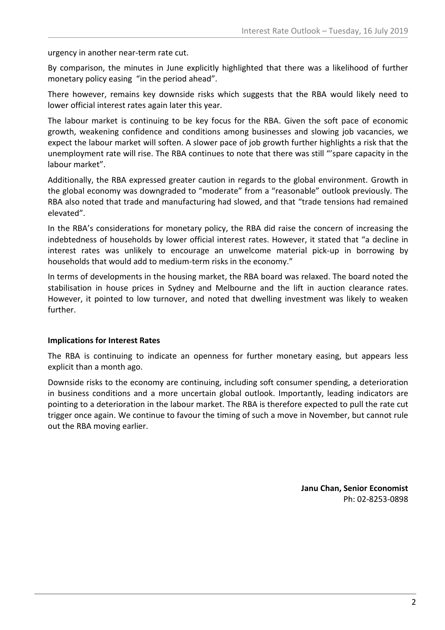urgency in another near-term rate cut.

By comparison, the minutes in June explicitly highlighted that there was a likelihood of further monetary policy easing "in the period ahead".

There however, remains key downside risks which suggests that the RBA would likely need to lower official interest rates again later this year.

The labour market is continuing to be key focus for the RBA. Given the soft pace of economic growth, weakening confidence and conditions among businesses and slowing job vacancies, we expect the labour market will soften. A slower pace of job growth further highlights a risk that the unemployment rate will rise. The RBA continues to note that there was still "'spare capacity in the labour market".

Additionally, the RBA expressed greater caution in regards to the global environment. Growth in the global economy was downgraded to "moderate" from a "reasonable" outlook previously. The RBA also noted that trade and manufacturing had slowed, and that "trade tensions had remained elevated".

In the RBA's considerations for monetary policy, the RBA did raise the concern of increasing the indebtedness of households by lower official interest rates. However, it stated that "a decline in interest rates was unlikely to encourage an unwelcome material pick-up in borrowing by households that would add to medium-term risks in the economy."

In terms of developments in the housing market, the RBA board was relaxed. The board noted the stabilisation in house prices in Sydney and Melbourne and the lift in auction clearance rates. However, it pointed to low turnover, and noted that dwelling investment was likely to weaken further.

## **Implications for Interest Rates**

The RBA is continuing to indicate an openness for further monetary easing, but appears less explicit than a month ago.

Downside risks to the economy are continuing, including soft consumer spending, a deterioration in business conditions and a more uncertain global outlook. Importantly, leading indicators are pointing to a deterioration in the labour market. The RBA is therefore expected to pull the rate cut trigger once again. We continue to favour the timing of such a move in November, but cannot rule out the RBA moving earlier.

> **Janu Chan, Senior Economist** Ph: 02-8253-0898